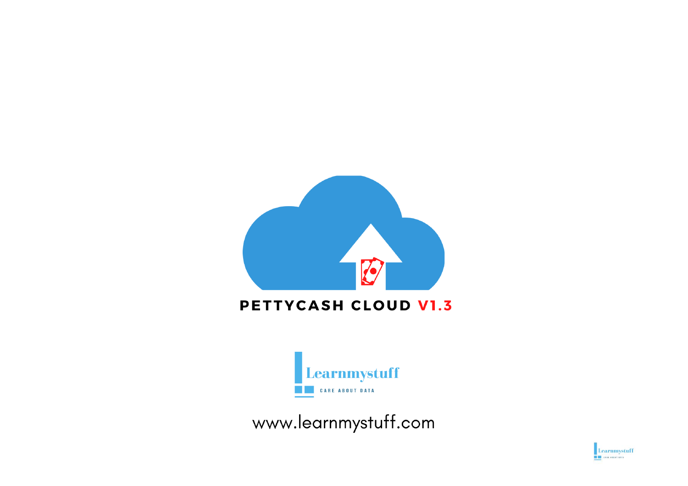

### PETTYCASH CLOUD V1.3



www.learnmystuff.com

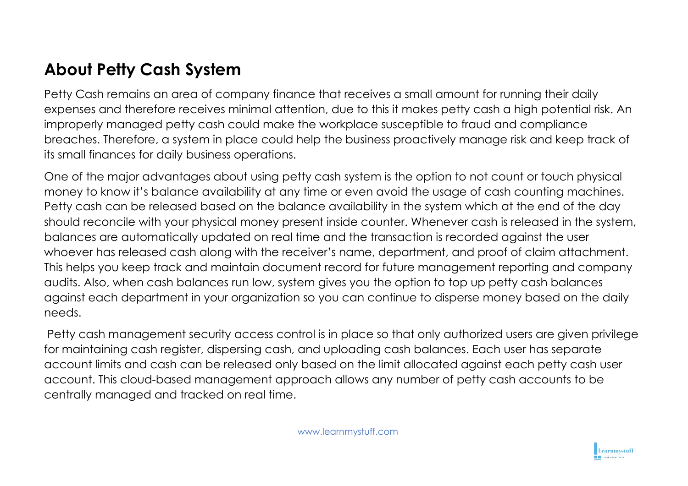## **About Petty Cash System**

Petty Cash remains an area of company finance that receives a small amount for running their daily expenses and therefore receives minimal attention, due to this it makes petty cash a high potential risk. An improperly managed petty cash could make the workplace susceptible to fraud and compliance breaches. Therefore, a system in place could help the business proactively manage risk and keep track of its small finances for daily business operations.

One of the major advantages about using petty cash system is the option to not count or touch physical money to know it's balance availability at any time or even avoid the usage of cash counting machines. Petty cash can be released based on the balance availability in the system which at the end of the day should reconcile with your physical money present inside counter. Whenever cash is released in the system, balances are automatically updated on real time and the transaction is recorded against the user whoever has released cash along with the receiver's name, department, and proof of claim attachment. This helps you keep track and maintain document record for future management reporting and company audits. Also, when cash balances run low, system gives you the option to top up petty cash balances against each department in your organization so you can continue to disperse money based on the daily needs.

Petty cash management security access control is in place so that only authorized users are given privilege for maintaining cash register, dispersing cash, and uploading cash balances. Each user has separate account limits and cash can be released only based on the limit allocated against each petty cash user account. This cloud-based management approach allows any number of petty cash accounts to be centrally managed and tracked on real time.

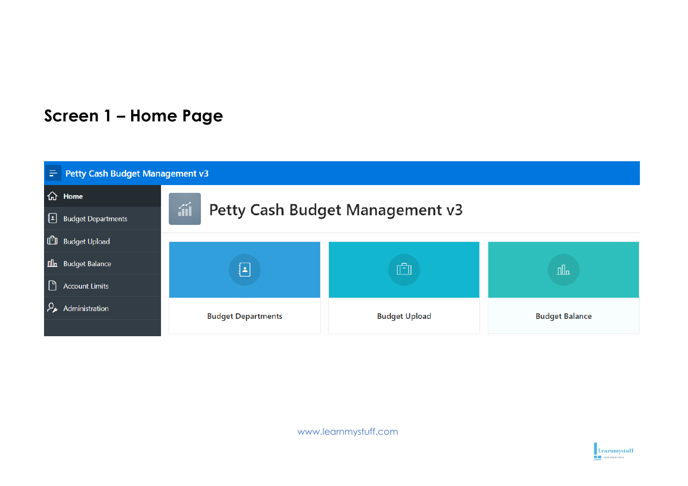## **Screen 1 – Home Page**



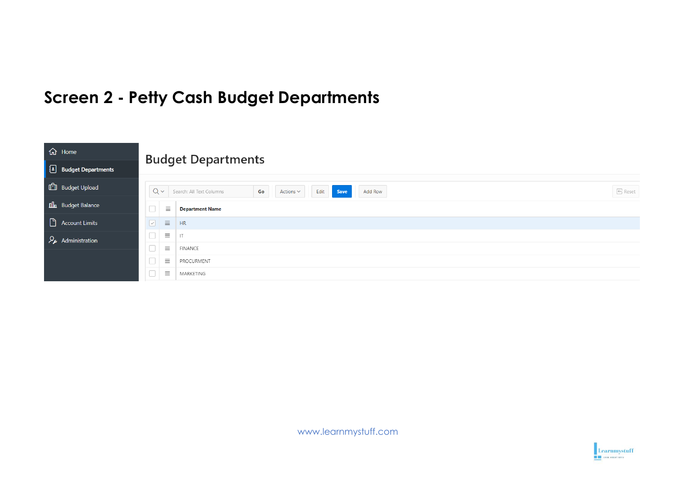## **Screen 2 - Petty Cash Budget Departments**

| d Home                                     | <b>Budget Departments</b>                                                                      |                                 |  |  |  |
|--------------------------------------------|------------------------------------------------------------------------------------------------|---------------------------------|--|--|--|
| <b>Budget Departments</b>                  |                                                                                                |                                 |  |  |  |
| <b>ED</b> Budget Upload                    | $Q \vee$<br>Search: All Text Columns<br>Go<br>Edit<br>Save<br>Actions $\smallsmile$<br>Add Row | $\overline{\mathfrak{S}}$ Reset |  |  |  |
| <b>nl</b> Budget Balance                   | $\equiv$<br><b>Department Name</b>                                                             |                                 |  |  |  |
| Account Limits                             | $\boxed{\triangleright}$<br>$\equiv$<br>HR                                                     |                                 |  |  |  |
| $\mathcal{P}_{\mathcal{F}}$ Administration | $\Box$<br>$\equiv$<br>$\ensuremath{\mathsf{IT}}$                                               |                                 |  |  |  |
|                                            | $\Box$<br>$\equiv$<br>FINANCE                                                                  |                                 |  |  |  |
|                                            | $\Box$<br>三<br>PROCURMENT                                                                      |                                 |  |  |  |
|                                            | 亖<br>MARKETING                                                                                 |                                 |  |  |  |

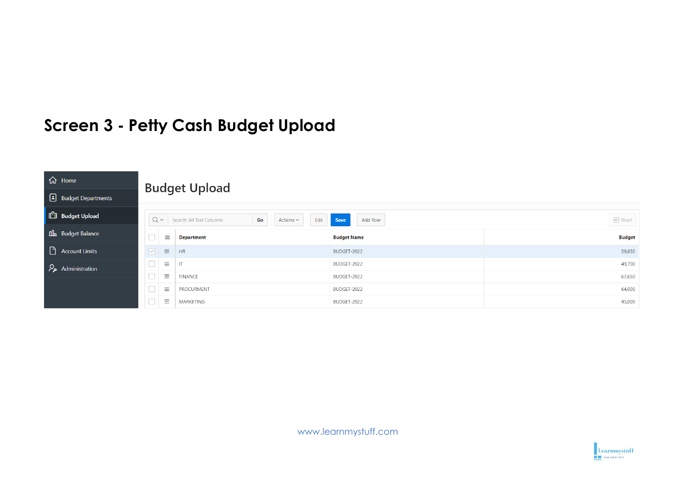## **Screen 3 - Petty Cash Budget Upload**

| d Home                    |                                      |                          |                                                 |                      |  |  |
|---------------------------|--------------------------------------|--------------------------|-------------------------------------------------|----------------------|--|--|
| Budget Departments        | <b>Budget Upload</b>                 |                          |                                                 |                      |  |  |
| <b>CD</b> Budget Upload   | $Q \vee$                             | Search: All Text Columns | Edit<br>Add Row<br>Save<br>Go<br>Actions $\vee$ | $\boxed{\leq}$ Reset |  |  |
| <b>Ill</b> Budget Balance | $\Box$<br>$\equiv$                   | <b>Department</b>        | <b>Budget Name</b>                              | <b>Budget</b>        |  |  |
| Account Limits            | $\equiv$<br>$\vert\vee\vert$         | <b>HR</b>                | BUDGET-2022                                     | 59,850               |  |  |
| Administration            | $\equiv$<br>$\overline{\phantom{a}}$ | $\mathsf{I}\mathsf{T}$   | BUDGET-2022                                     | 49,700               |  |  |
|                           | 亖<br>$\sim$                          | FINANCE                  | BUDGET-2022                                     | 67,650               |  |  |
|                           | 亖<br>$\overline{\phantom{a}}$        | PROCURMENT               | BUDGET-2022                                     | 64,000               |  |  |
|                           | $\equiv$<br>$\overline{\phantom{a}}$ | MARKETING                | BUDGET-2022                                     | 45,000               |  |  |

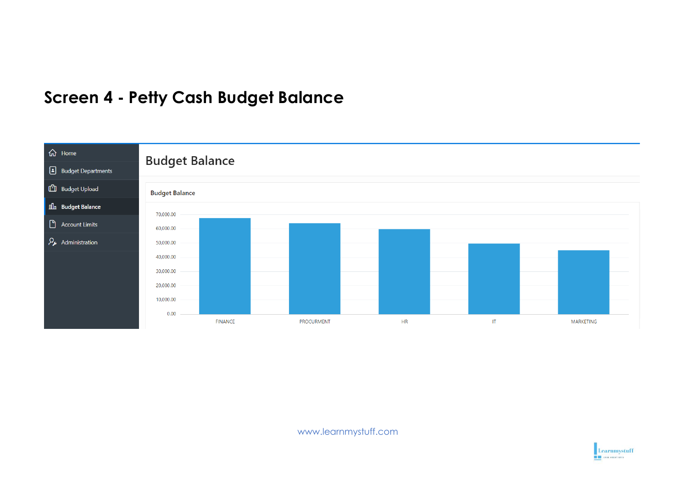## **Screen 4 - Petty Cash Budget Balance**



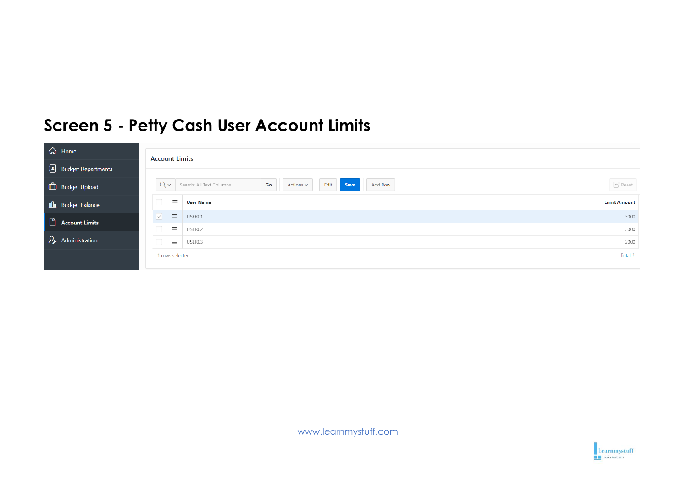## **Screen 5 - Petty Cash User Account Limits**

| d Home                                | <b>Account Limits</b>                                                                          |                     |
|---------------------------------------|------------------------------------------------------------------------------------------------|---------------------|
| Budget Departments                    |                                                                                                |                     |
| <b>ED</b> Budget Upload               | $Q \vee$<br><b>Save</b><br>Search: All Text Columns<br>Edit<br>Go<br>Actions $\vee$<br>Add Row | <b>6</b> Reset      |
| <b>nl</b> <sub>n</sub> Budget Balance | $\Box$<br>$\equiv$<br><b>User Name</b>                                                         | <b>Limit Amount</b> |
| $\Box$ Account Limits                 | $\equiv$<br>USER01<br>$\vert \vee \vert$                                                       | 5000                |
|                                       | $\Box$<br>$\equiv$<br>USER02                                                                   | 3000                |
| Administration                        | $\Box$<br>$\equiv$<br>USER03                                                                   | 2000                |
|                                       | 1 rows selected                                                                                | Total 3             |
|                                       |                                                                                                |                     |

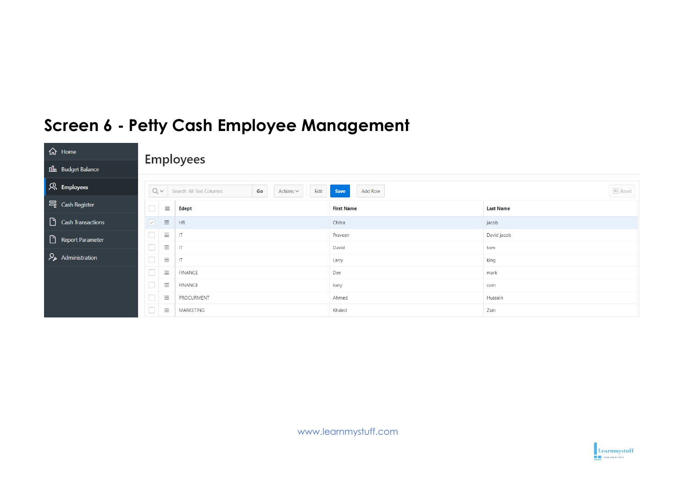### $\hat{h}$  Home **Employees nl**<sub>n</sub> Budget Balance  $\mathcal{R}$  Employees  $Q \vee$  Search: All Text Columns Save Add Row  $\overline{\Theta}$  Reset Edit Go Actions  $\vee$  $\equiv$  Cash Register  $\Box$  $\equiv$ Edept **Last Name First Name** Cash Transactions  $\boxed{\circ}$   $\equiv$  $HR$ Chitra jacob  $\Box$  $\equiv$   $\pi$ Praveen David jacob Report Parameter  $\Box$  $\equiv$   $\perp$   $\pi$ David tom Administration  $\Box$  $\equiv$   $\top$ Larry king  $\Box \quad \equiv$ **FINANCE** Den mark  $\Box \quad \equiv$ **FINANCE** lorry com  $\Box$  $\equiv$ PROCURMENT Ahmed Hussain  $\Box$   $\equiv$  MARKETING Khaled Zain

## **Screen 6 - Petty Cash Employee Management**

www.learnmystuff.com

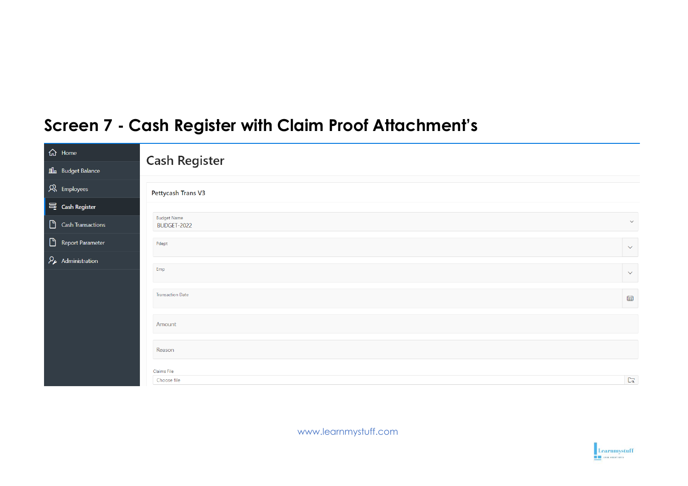## **Screen 7 - Cash Register with Claim Proof Attachment's**

| <b>命</b> Home                              | <b>Cash Register</b>              |                          |
|--------------------------------------------|-----------------------------------|--------------------------|
| <b>Ill</b> Budget Balance                  |                                   |                          |
| R Employees                                | Pettycash Trans V3                |                          |
| $\equiv$ Cash Register                     |                                   |                          |
| Cash Transactions                          | <b>Budget Name</b><br>BUDGET-2022 | $\small\smile$           |
| Report Parameter                           | Pdept                             | $\checkmark$             |
| $\mathcal{P}_{\mathcal{F}}$ Administration |                                   |                          |
|                                            | Emp                               | $\checkmark$             |
|                                            | <b>Transaction Date</b>           | $\qquad \qquad \boxplus$ |
|                                            | Amount                            |                          |
|                                            | Reason                            |                          |
|                                            | Claims File                       |                          |
|                                            | Choose file                       | $\Gamma_{\!\alpha}$      |

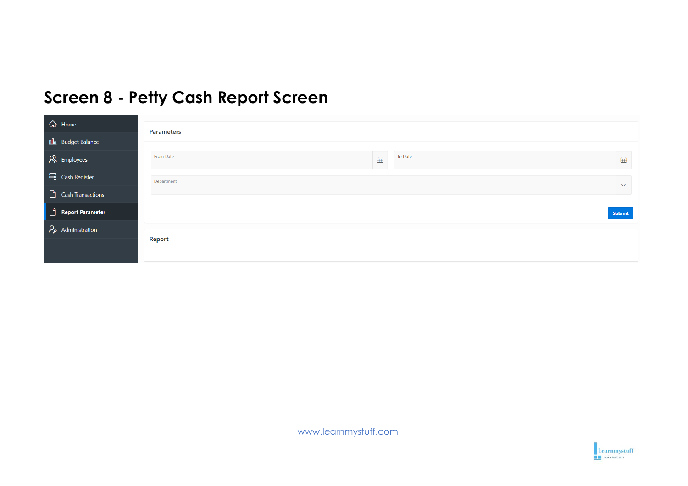## **Screen 8 - Petty Cash Report Screen**

| <b>命</b> Home                             | <b>Parameters</b>                                     |
|-------------------------------------------|-------------------------------------------------------|
| <b>nla</b> Budget Balance                 |                                                       |
| $\mathcal{R}$ Employees                   | From Date<br>To Date<br>$\qquad \qquad \boxplus$<br>曲 |
| 号 Cash Register                           | Department<br>$\checkmark$                            |
| $\Box$ Cash Transactions                  |                                                       |
| Report Parameter                          | Submit                                                |
| $\mathcal{P}_{\mathbf{z}}$ Administration |                                                       |
|                                           | Report                                                |
|                                           |                                                       |

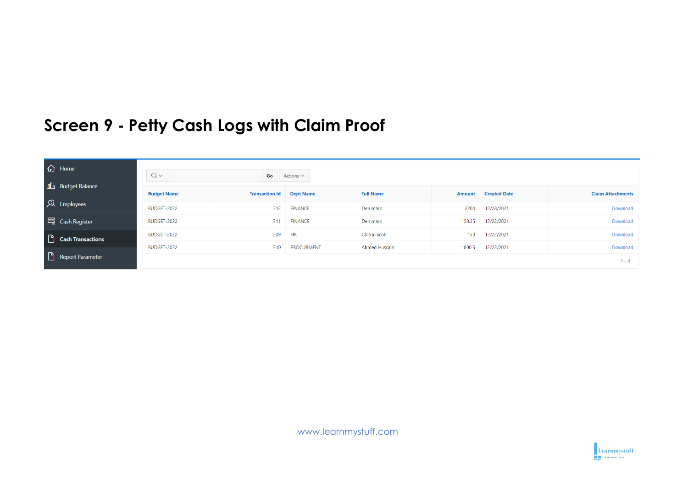## **Screen 9 - Petty Cash Logs with Claim Proof**

| d Home                   | $Q \vee$           | Go                    | Actions $\vee$    |                      |        |                     |                          |
|--------------------------|--------------------|-----------------------|-------------------|----------------------|--------|---------------------|--------------------------|
| <b>nl</b> Budget Balance | <b>Budget Name</b> | <b>Transaction Id</b> | <b>Dept Name</b>  | <b>Full Name</b>     |        | Amount Created Date | <b>Claim Attachments</b> |
| R Employees              | BUDGET-2022        | 312                   | <b>FINANCE</b>    | Den mark             | 2200   | 12/28/2021          | Download                 |
| 号 Cash Register          | BUDGET-2022        | 311                   | <b>FINANCE</b>    | Den mark             | 150.25 | 12/22/2021          | Download                 |
| Cash Transactions        | BUDGET-2022        | 309                   | <b>HR</b>         | Chitra jacob         | 150    | 12/22/2021          | Download                 |
|                          | BUDGET-2022        | 310                   | <b>PROCURMENT</b> | <b>Ahmed Hussain</b> | 1000.5 | 12/22/2021          | Download                 |
| Report Parameter         |                    |                       |                   |                      |        |                     | $1 - 4$                  |

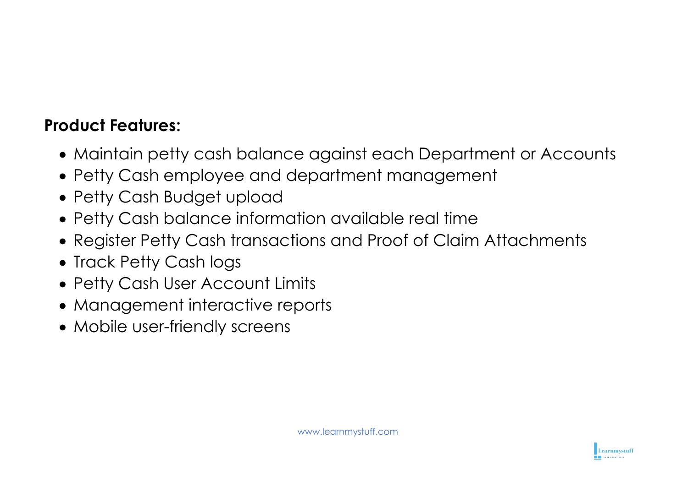## **Product Features:**

- Maintain petty cash balance against each Department or Accounts
- Petty Cash employee and department management
- Petty Cash Budget upload
- Petty Cash balance information available real time
- Register Petty Cash transactions and Proof of Claim Attachments
- Track Petty Cash logs
- Petty Cash User Account Limits
- Management interactive reports
- Mobile user-friendly screens